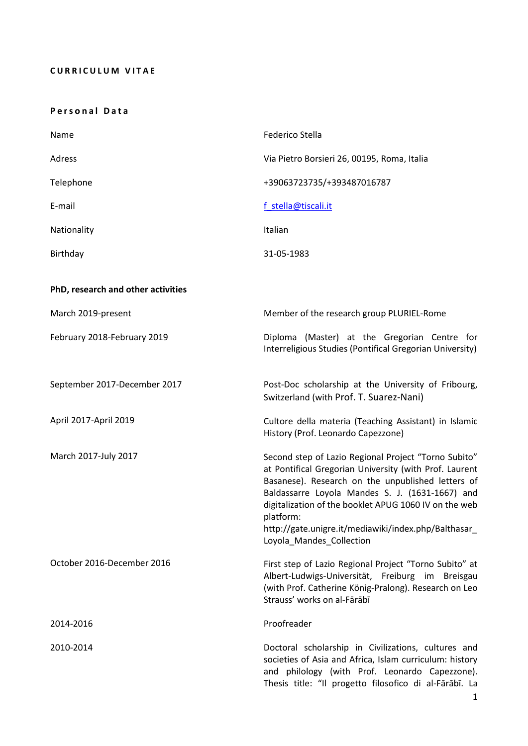# **CURRICULUM VITAE**

## **P e r s o n a l D a t a**

| Name                               | Federico Stella                                                                                                                                                                                                                                                                                                                                                                  |
|------------------------------------|----------------------------------------------------------------------------------------------------------------------------------------------------------------------------------------------------------------------------------------------------------------------------------------------------------------------------------------------------------------------------------|
| Adress                             | Via Pietro Borsieri 26, 00195, Roma, Italia                                                                                                                                                                                                                                                                                                                                      |
| Telephone                          | +39063723735/+393487016787                                                                                                                                                                                                                                                                                                                                                       |
| E-mail                             | f stella@tiscali.it                                                                                                                                                                                                                                                                                                                                                              |
| Nationality                        | Italian                                                                                                                                                                                                                                                                                                                                                                          |
| Birthday                           | 31-05-1983                                                                                                                                                                                                                                                                                                                                                                       |
| PhD, research and other activities |                                                                                                                                                                                                                                                                                                                                                                                  |
| March 2019-present                 | Member of the research group PLURIEL-Rome                                                                                                                                                                                                                                                                                                                                        |
| February 2018-February 2019        | Diploma (Master) at the Gregorian Centre for<br>Interreligious Studies (Pontifical Gregorian University)                                                                                                                                                                                                                                                                         |
| September 2017-December 2017       | Post-Doc scholarship at the University of Fribourg,<br>Switzerland (with Prof. T. Suarez-Nani)                                                                                                                                                                                                                                                                                   |
| April 2017-April 2019              | Cultore della materia (Teaching Assistant) in Islamic<br>History (Prof. Leonardo Capezzone)                                                                                                                                                                                                                                                                                      |
| March 2017-July 2017               | Second step of Lazio Regional Project "Torno Subito"<br>at Pontifical Gregorian University (with Prof. Laurent<br>Basanese). Research on the unpublished letters of<br>Baldassarre Loyola Mandes S. J. (1631-1667) and<br>digitalization of the booklet APUG 1060 IV on the web<br>platform:<br>http://gate.unigre.it/mediawiki/index.php/Balthasar_<br>Loyola_Mandes_Collection |
| October 2016-December 2016         | First step of Lazio Regional Project "Torno Subito" at<br>Albert-Ludwigs-Universität, Freiburg im Breisgau<br>(with Prof. Catherine König-Pralong). Research on Leo<br>Strauss' works on al-Fārābī                                                                                                                                                                               |
| 2014-2016                          | Proofreader                                                                                                                                                                                                                                                                                                                                                                      |
| 2010-2014                          | Doctoral scholarship in Civilizations, cultures and<br>societies of Asia and Africa, Islam curriculum: history<br>and philology (with Prof. Leonardo Capezzone).<br>Thesis title: "Il progetto filosofico di al-Fārābī. La                                                                                                                                                       |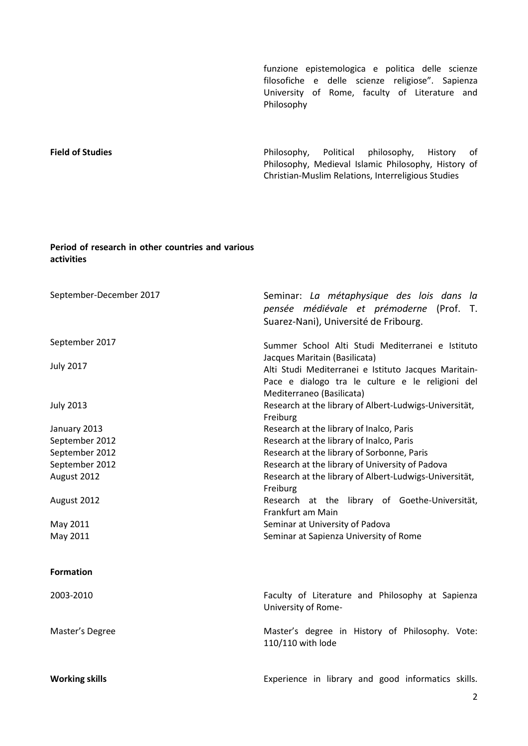funzione epistemologica e politica delle scienze filosofiche e delle scienze religiose". Sapienza University of Rome, faculty of Literature and Philosophy

**Field of Studies Field of Studies Philosophy, Political philosophy, History of** Philosophy, Medieval Islamic Philosophy, History of Christian-Muslim Relations, Interreligious Studies

# **Period of research in other countries and various activities**

| September-December 2017 | Seminar: La métaphysique des lois dans la<br>pensée médiévale et prémoderne (Prof. T.<br>Suarez-Nani), Université de Fribourg.        |
|-------------------------|---------------------------------------------------------------------------------------------------------------------------------------|
| September 2017          | Summer School Alti Studi Mediterranei e Istituto<br>Jacques Maritain (Basilicata)                                                     |
| <b>July 2017</b>        | Alti Studi Mediterranei e Istituto Jacques Maritain-<br>Pace e dialogo tra le culture e le religioni del<br>Mediterraneo (Basilicata) |
| <b>July 2013</b>        | Research at the library of Albert-Ludwigs-Universität,<br>Freiburg                                                                    |
| January 2013            | Research at the library of Inalco, Paris                                                                                              |
| September 2012          | Research at the library of Inalco, Paris                                                                                              |
| September 2012          | Research at the library of Sorbonne, Paris                                                                                            |
| September 2012          | Research at the library of University of Padova                                                                                       |
| August 2012             | Research at the library of Albert-Ludwigs-Universität,<br>Freiburg                                                                    |
| August 2012             | Research at the library of Goethe-Universität,<br>Frankfurt am Main                                                                   |
| May 2011                | Seminar at University of Padova                                                                                                       |
| May 2011                | Seminar at Sapienza University of Rome                                                                                                |
| <b>Formation</b>        |                                                                                                                                       |
| 2003-2010               | Faculty of Literature and Philosophy at Sapienza<br>University of Rome-                                                               |
| Master's Degree         | Master's degree in History of Philosophy. Vote:<br>110/110 with lode                                                                  |
| <b>Working skills</b>   | Experience in library and good informatics skills.                                                                                    |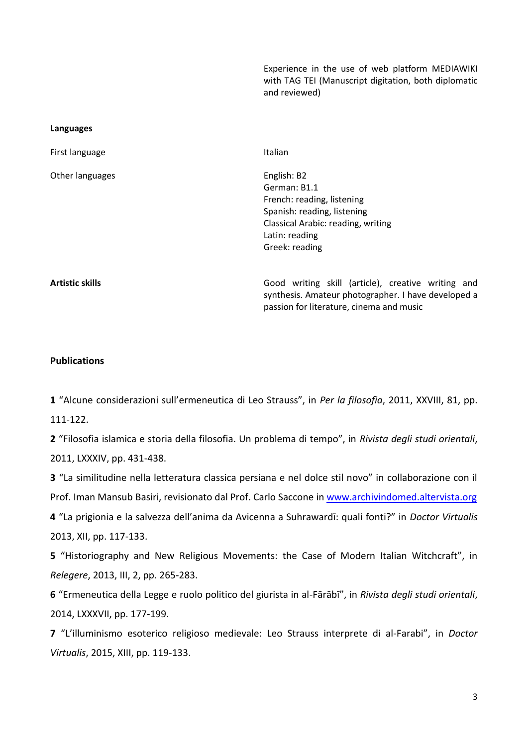Experience in the use of web platform MEDIAWIKI with TAG TEI (Manuscript digitation, both diplomatic and reviewed) **Languages** First language and the Italian series of the Italian Other languages **English: B2** German: B1.1 French: reading, listening Spanish: reading, listening Classical Arabic: reading, writing Latin: reading Greek: reading **Artistic skills** Good writing skill (article), creative writing and synthesis. Amateur photographer. I have developed a passion for literature, cinema and music

## **Publications**

**1** "Alcune considerazioni sull'ermeneutica di Leo Strauss", in *Per la filosofia*, 2011, XXVIII, 81, pp. 111-122.

**2** "Filosofia islamica e storia della filosofia. Un problema di tempo", in *Rivista degli studi orientali*, 2011, LXXXIV, pp. 431-438.

**3** "La similitudine nella letteratura classica persiana e nel dolce stil novo" in collaborazione con il Prof. Iman Mansub Basiri, revisionato dal Prof. Carlo Saccone in [www.archivindomed.altervista.org](http://www.archivindomed.altervista.org/) **4** "La prigionia e la salvezza dell'anima da Avicenna a Suhrawardī: quali fonti?" in *Doctor Virtualis*

2013, XII, pp. 117-133.

**5** "Historiography and New Religious Movements: the Case of Modern Italian Witchcraft", in *Relegere*, 2013, III, 2, pp. 265-283.

**6** "Ermeneutica della Legge e ruolo politico del giurista in al-Fārābī", in *Rivista degli studi orientali*, 2014, LXXXVII, pp. 177-199.

**7** "L'illuminismo esoterico religioso medievale: Leo Strauss interprete di al-Farabi", in *Doctor Virtualis*, 2015, XIII, pp. 119-133.